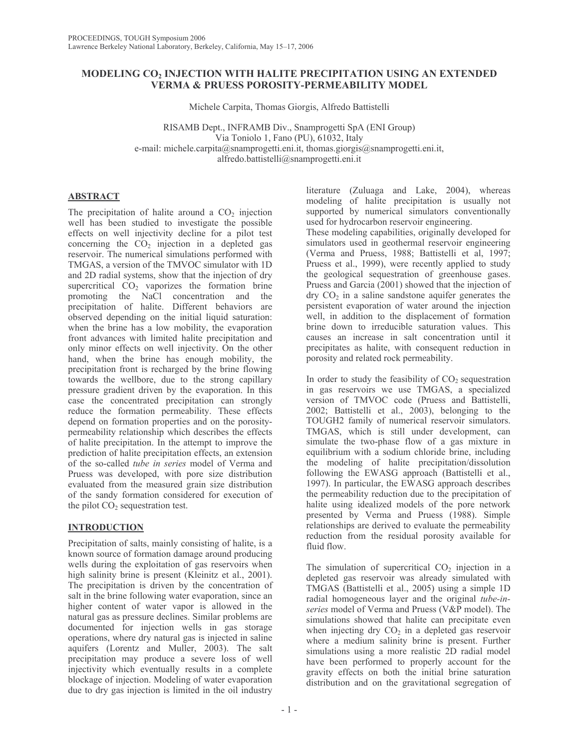# MODELING CO<sub>2</sub> INJECTION WITH HALITE PRECIPITATION USING AN EXTENDED **VERMA & PRUESS POROSITY-PERMEABILITY MODEL**

Michele Carpita, Thomas Giorgis, Alfredo Battistelli

RISAMB Dept., INFRAMB Div., Snamprogetti SpA (ENI Group) Via Toniolo 1, Fano (PU), 61032, Italy e-mail: michele.carpita@snamprogetti.eni.it, thomas.giorgis@snamprogetti.eni.it, alfredo.battistelli@snamprogetti.eni.it

# **ABSTRACT**

The precipitation of halite around a CO<sub>2</sub> injection well has been studied to investigate the possible effects on well injectivity decline for a pilot test concerning the  $CO<sub>2</sub>$  injection in a depleted gas reservoir. The numerical simulations performed with TMGAS, a version of the TMVOC simulator with 1D and 2D radial systems, show that the injection of dry supercritical  $CO<sub>2</sub>$  vaporizes the formation brine promoting the NaCl concentration and the precipitation of halite. Different behaviors are observed depending on the initial liquid saturation: when the brine has a low mobility, the evaporation front advances with limited halite precipitation and only minor effects on well injectivity. On the other hand, when the brine has enough mobility, the precipitation front is recharged by the brine flowing towards the wellbore, due to the strong capillary pressure gradient driven by the evaporation. In this case the concentrated precipitation can strongly reduce the formation permeability. These effects depend on formation properties and on the porositypermeability relationship which describes the effects of halite precipitation. In the attempt to improve the prediction of halite precipitation effects, an extension of the so-called tube in series model of Verma and Pruess was developed, with pore size distribution evaluated from the measured grain size distribution of the sandy formation considered for execution of the pilot  $CO<sub>2</sub>$  sequestration test.

# **INTRODUCTION**

Precipitation of salts, mainly consisting of halite, is a known source of formation damage around producing wells during the exploitation of gas reservoirs when high salinity brine is present (Kleinitz et al., 2001). The precipitation is driven by the concentration of salt in the brine following water evaporation, since an higher content of water vapor is allowed in the natural gas as pressure declines. Similar problems are documented for injection wells in gas storage operations, where dry natural gas is injected in saline aquifers (Lorentz and Muller, 2003). The salt precipitation may produce a severe loss of well injectivity which eventually results in a complete blockage of injection. Modeling of water evaporation due to dry gas injection is limited in the oil industry

literature (Zuluaga and Lake, 2004), whereas modeling of halite precipitation is usually not supported by numerical simulators conventionally used for hydrocarbon reservoir engineering.

These modeling capabilities, originally developed for simulators used in geothermal reservoir engineering (Verma and Pruess, 1988; Battistelli et al, 1997; Pruess et al., 1999), were recently applied to study the geological sequestration of greenhouse gases. Pruess and Garcia (2001) showed that the injection of  $\text{dry } CO_2$  in a saline sandstone aquifer generates the persistent evaporation of water around the injection well, in addition to the displacement of formation brine down to irreducible saturation values. This causes an increase in salt concentration until it precipitates as halite, with consequent reduction in porosity and related rock permeability.

In order to study the feasibility of  $CO<sub>2</sub>$  sequestration in gas reservoirs we use TMGAS, a specialized version of TMVOC code (Pruess and Battistelli, 2002; Battistelli et al., 2003), belonging to the TOUGH2 family of numerical reservoir simulators. TMGAS, which is still under development, can simulate the two-phase flow of a gas mixture in equilibrium with a sodium chloride brine, including the modeling of halite precipitation/dissolution following the EWASG approach (Battistelli et al., 1997). In particular, the EWASG approach describes the permeability reduction due to the precipitation of halite using idealized models of the pore network presented by Verma and Pruess (1988). Simple relationships are derived to evaluate the permeability reduction from the residual porosity available for fluid flow.

The simulation of supercritical  $CO<sub>2</sub>$  injection in a depleted gas reservoir was already simulated with TMGAS (Battistelli et al., 2005) using a simple 1D radial homogeneous layer and the original tube-inseries model of Verma and Pruess (V&P model). The simulations showed that halite can precipitate even when injecting dry  $CO<sub>2</sub>$  in a depleted gas reservoir where a medium salinity brine is present. Further simulations using a more realistic 2D radial model have been performed to properly account for the gravity effects on both the initial brine saturation distribution and on the gravitational segregation of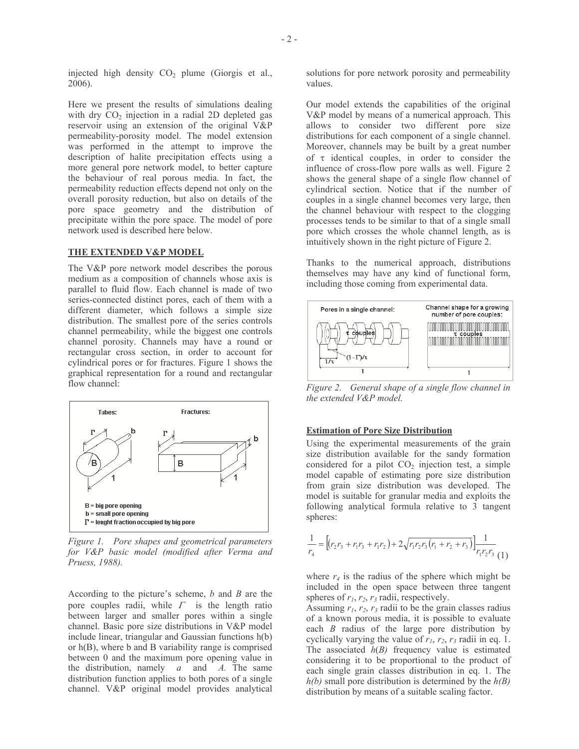injected high density CO<sub>2</sub> plume (Giorgis et al.,  $2006$ ).

Here we present the results of simulations dealing with dry  $CO<sub>2</sub>$  injection in a radial 2D depleted gas reservoir using an extension of the original V&P permeability-porosity model. The model extension was performed in the attempt to improve the description of halite precipitation effects using a more general pore network model, to better capture the behaviour of real porous media. In fact, the permeability reduction effects depend not only on the overall porosity reduction, but also on details of the pore space geometry and the distribution of precipitate within the pore space. The model of pore network used is described here below.

#### THE EXTENDED V&P MODEL

The V&P pore network model describes the porous medium as a composition of channels whose axis is parallel to fluid flow. Each channel is made of two series-connected distinct pores, each of them with a different diameter, which follows a simple size distribution. The smallest pore of the series controls channel permeability, while the biggest one controls channel porosity. Channels may have a round or rectangular cross section, in order to account for cylindrical pores or for fractures. Figure 1 shows the graphical representation for a round and rectangular flow channel:



Figure 1. Pore shapes and geometrical parameters for V&P basic model (modified after Verma and Pruess, 1988).

According to the picture's scheme,  $b$  and  $B$  are the pore couples radii, while  $\Gamma$  is the length ratio between larger and smaller pores within a single channel. Basic pore size distributions in V&P model include linear, triangular and Gaussian functions h(b) or  $h(B)$ , where b and B variability range is comprised between 0 and the maximum pore opening value in the distribution, namely  $a$  and  $A$ . The same distribution function applies to both pores of a single channel. V&P original model provides analytical solutions for pore network porosity and permeability values.

Our model extends the capabilities of the original V&P model by means of a numerical approach. This allows to consider two different pore size distributions for each component of a single channel. Moreover, channels may be built by a great number of  $\tau$  identical couples, in order to consider the influence of cross-flow pore walls as well. Figure 2 shows the general shape of a single flow channel of cylindrical section. Notice that if the number of couples in a single channel becomes very large, then the channel behaviour with respect to the clogging processes tends to be similar to that of a single small pore which crosses the whole channel length, as is intuitively shown in the right picture of Figure 2.

Thanks to the numerical approach, distributions themselves may have any kind of functional form, including those coming from experimental data.



Figure 2. General shape of a single flow channel in the extended V&P model.

#### **Estimation of Pore Size Distribution**

Using the experimental measurements of the grain size distribution available for the sandy formation considered for a pilot  $CO<sub>2</sub>$  injection test, a simple model capable of estimating pore size distribution from grain size distribution was developed. The model is suitable for granular media and exploits the following analytical formula relative to 3 tangent spheres:

$$
\frac{1}{r_4} = \left[ \left( r_2 r_3 + r_1 r_3 + r_1 r_2 \right) + 2 \sqrt{r_1 r_2 r_3} \left( r_1 + r_2 + r_3 \right) \right] \frac{1}{r_1 r_2 r_3}
$$
 (1)

where  $r_4$  is the radius of the sphere which might be included in the open space between three tangent spheres of  $r_1$ ,  $r_2$ ,  $r_3$  radii, respectively.

Assuming  $r_1$ ,  $r_2$ ,  $r_3$  radii to be the grain classes radius of a known porous media, it is possible to evaluate each  $B$  radius of the large pore distribution by cyclically varying the value of  $r_1$ ,  $r_2$ ,  $r_3$  radii in eq. 1. The associated  $h(B)$  frequency value is estimated considering it to be proportional to the product of each single grain classes distribution in eq. 1. The  $h(b)$  small pore distribution is determined by the  $h(B)$ distribution by means of a suitable scaling factor.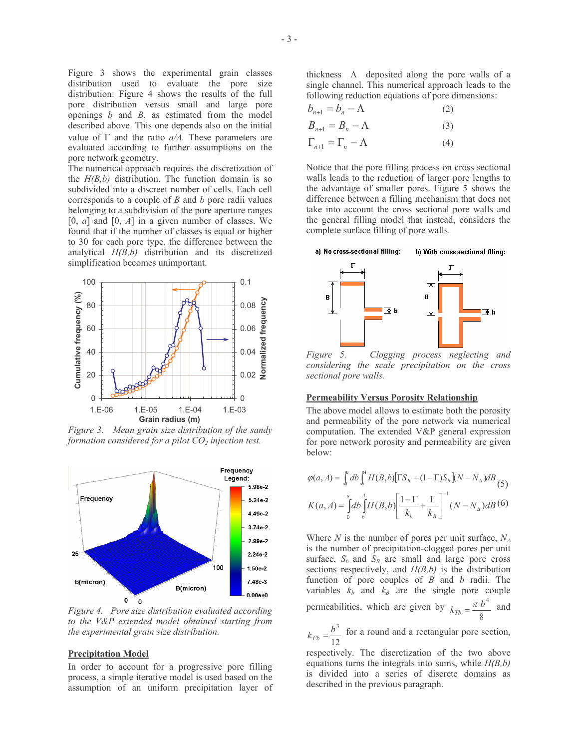Figure 3 shows the experimental grain classes distribution used to evaluate the pore size distribution: Figure 4 shows the results of the full pore distribution versus small and large pore openings  $b$  and  $B$ , as estimated from the model described above. This one depends also on the initial value of  $\Gamma$  and the ratio  $a/A$ . These parameters are evaluated according to further assumptions on the pore network geometry.

The numerical approach requires the discretization of the  $H(B,b)$  distribution. The function domain is so subdivided into a discreet number of cells. Each cell corresponds to a couple of  $B$  and  $b$  pore radii values belonging to a subdivision of the pore aperture ranges [0, a] and [0, A] in a given number of classes. We found that if the number of classes is equal or higher to 30 for each pore type, the difference between the analytical  $H(B,b)$  distribution and its discretized simplification becomes unimportant.



Figure 3. Mean grain size distribution of the sandy formation considered for a pilot  $CO<sub>2</sub>$  injection test.



Figure 4. Pore size distribution evaluated according to the V&P extended model obtained starting from the experimental grain size distribution.

### **Precipitation Model**

In order to account for a progressive pore filling process, a simple iterative model is used based on the assumption of an uniform precipitation layer of thickness  $\Lambda$  deposited along the pore walls of a single channel. This numerical approach leads to the following reduction equations of pore dimensions:

$$
b_{n+1} = b_n - \Lambda \tag{2}
$$

$$
B_{n+1} = B_n - \Lambda \tag{3}
$$

$$
\Gamma_{n+1} = \Gamma_n - \Lambda \tag{4}
$$

Notice that the pore filling process on cross sectional walls leads to the reduction of larger pore lengths to the advantage of smaller pores. Figure 5 shows the difference between a filling mechanism that does not take into account the cross sectional pore walls and the general filling model that instead, considers the complete surface filling of pore walls.



Figure 5. Clogging process neglecting and considering the scale precipitation on the cross sectional pore walls.

### **Permeability Versus Porosity Relationship**

The above model allows to estimate both the porosity and permeability of the pore network via numerical computation. The extended V&P general expression for pore network porosity and permeability are given below:

$$
\varphi(a, A) = \int_0^a db \int_b^A H(B, b) [\Gamma S_B + (1 - \Gamma) S_b] (N - N_A) dB
$$
\n
$$
K(a, A) = \int_0^a d b \int_b^A H(B, b) \left[ \frac{1 - \Gamma}{k_b} + \frac{\Gamma}{k_B} \right]^{-1} (N - N_A) dB
$$
\n
$$
(6)
$$

Where N is the number of pores per unit surface,  $N_A$ is the number of precipitation-clogged pores per unit surface,  $S_b$  and  $S_B$  are small and large pore cross sections respectively, and  $H(B,b)$  is the distribution function of pore couples of  $B$  and  $b$  radii. The variables  $k_b$  and  $k_B$  are the single pore couple permeabilities, which are given by  $k_{Tb} = \frac{\pi b^4}{8}$  and

 $k_{Fb} = \frac{b^3}{12}$  for a round and a rectangular pore section,

respectively. The discretization of the two above equations turns the integrals into sums, while  $H(B,b)$ is divided into a series of discrete domains as described in the previous paragraph.

I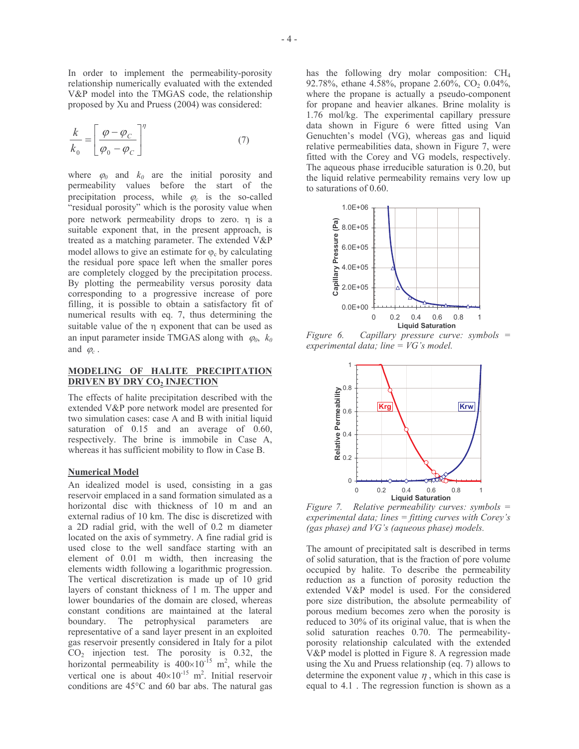In order to implement the permeability-porosity relationship numerically evaluated with the extended V&P model into the TMGAS code, the relationship proposed by Xu and Pruess (2004) was considered:

$$
\frac{k}{k_0} = \left[\frac{\varphi - \varphi_C}{\varphi_0 - \varphi_C}\right]^\eta \tag{7}
$$

where  $\varphi_0$  and  $k_0$  are the initial porosity and permeability values before the start of the precipitation process, while  $\varphi_c$  is the so-called "residual porosity" which is the porosity value when pore network permeability drops to zero.  $\eta$  is a suitable exponent that, in the present approach, is treated as a matching parameter. The extended V&P model allows to give an estimate for  $\varphi_c$  by calculating the residual pore space left when the smaller pores are completely clogged by the precipitation process. By plotting the permeability versus porosity data corresponding to a progressive increase of pore filling, it is possible to obtain a satisfactory fit of numerical results with eq. 7, thus determining the suitable value of the  $\eta$  exponent that can be used as an input parameter inside TMGAS along with  $\varphi_0$ ,  $k_0$ and  $\varphi_c$ .

### MODELING OF HALITE PRECIPITATION **DRIVEN BY DRY CO, INJECTION**

The effects of halite precipitation described with the extended V&P pore network model are presented for two simulation cases: case A and B with initial liquid saturation of  $0.15$  and an average of  $0.60$ , respectively. The brine is immobile in Case A, whereas it has sufficient mobility to flow in Case B.

### **Numerical Model**

An idealized model is used, consisting in a gas reservoir emplaced in a sand formation simulated as a horizontal disc with thickness of 10 m and an external radius of 10 km. The disc is discretized with a 2D radial grid, with the well of 0.2 m diameter located on the axis of symmetry. A fine radial grid is used close to the well sandface starting with an element of 0.01 m width, then increasing the elements width following a logarithmic progression. The vertical discretization is made up of 10 grid layers of constant thickness of 1 m. The upper and lower boundaries of the domain are closed, whereas constant conditions are maintained at the lateral boundary. The petrophysical parameters are representative of a sand layer present in an exploited gas reservoir presently considered in Italy for a pilot  $CO<sub>2</sub>$  injection test. The porosity is 0.32, the horizontal permeability is  $400\times10^{-15}$  m<sup>2</sup>, while the vertical one is about  $40 \times 10^{-15}$  m<sup>2</sup>. Initial reservoir conditions are  $45^{\circ}$ C and 60 bar abs. The natural gas has the following dry molar composition: CH<sub>4</sub> 92.78%, ethane 4.58%, propane 2.60%, CO<sub>2</sub> 0.04%, where the propane is actually a pseudo-component for propane and heavier alkanes. Brine molality is 1.76 mol/kg. The experimental capillary pressure data shown in Figure 6 were fitted using Van Genuchten's model (VG), whereas gas and liquid relative permeabilities data, shown in Figure 7, were fitted with the Corey and VG models, respectively. The aqueous phase irreducible saturation is 0.20, but the liquid relative permeability remains very low up to saturations of 0.60.



Figure 6. Capillary pressure curve: symbols  $=$ experimental data; line =  $VG$ 's model.



Figure 7. Relative permeability curves: symbols = experimental data; lines  $=$  fitting curves with Corey's (gas phase) and VG's (aqueous phase) models.

The amount of precipitated salt is described in terms of solid saturation, that is the fraction of pore volume occupied by halite. To describe the permeability reduction as a function of porosity reduction the extended V&P model is used. For the considered pore size distribution, the absolute permeability of porous medium becomes zero when the porosity is reduced to 30% of its original value, that is when the solid saturation reaches 0.70. The permeabilityporosity relationship calculated with the extended V&P model is plotted in Figure 8. A regression made using the Xu and Pruess relationship (eq. 7) allows to determine the exponent value  $\eta$ , which in this case is equal to 4.1. The regression function is shown as a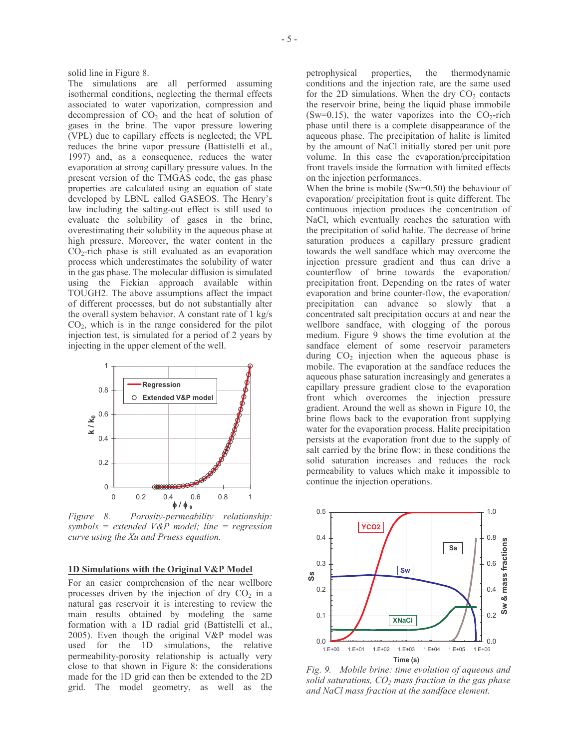solid line in Figure 8.

The simulations are all performed assuming isothermal conditions, neglecting the thermal effects associated to water vaporization, compression and decompression of  $CO<sub>2</sub>$  and the heat of solution of gases in the brine. The vapor pressure lowering (VPL) due to capillary effects is neglected; the VPL reduces the brine vapor pressure (Battistelli et al., 1997) and, as a consequence, reduces the water evaporation at strong capillary pressure values. In the present version of the TMGAS code, the gas phase properties are calculated using an equation of state developed by LBNL called GASEOS. The Henry's law including the salting-out effect is still used to evaluate the solubility of gases in the brine, overestimating their solubility in the aqueous phase at high pressure. Moreover, the water content in the  $CO<sub>2</sub>$ -rich phase is still evaluated as an evaporation process which underestimates the solubility of water in the gas phase. The molecular diffusion is simulated using the Fickian approach available within TOUGH2. The above assumptions affect the impact of different processes, but do not substantially alter the overall system behavior. A constant rate of 1 kg/s  $CO<sub>2</sub>$ , which is in the range considered for the pilot injection test, is simulated for a period of 2 years by injecting in the upper element of the well.



Figure 8. Porosity-permeability relationship: symbols = extended  $V\&P$  model; line = regression curve using the Xu and Pruess equation.

#### 1D Simulations with the Original V&P Model

For an easier comprehension of the near wellbore processes driven by the injection of dry  $CO<sub>2</sub>$  in a natural gas reservoir it is interesting to review the main results obtained by modeling the same formation with a 1D radial grid (Battistelli et al., 2005). Even though the original V&P model was used for the 1D simulations, the relative permeability-porosity relationship is actually very close to that shown in Figure 8: the considerations made for the 1D grid can then be extended to the 2D grid. The model geometry, as well as the

petrophysical properties, the thermodynamic conditions and the injection rate, are the same used for the 2D simulations. When the dry  $CO<sub>2</sub>$  contacts the reservoir brine, being the liquid phase immobile (Sw=0.15), the water vaporizes into the  $CO_2$ -rich phase until there is a complete disappearance of the aqueous phase. The precipitation of halite is limited by the amount of NaCl initially stored per unit pore volume. In this case the evaporation/precipitation front travels inside the formation with limited effects on the injection performances.

When the brine is mobile  $(Sw=0.50)$  the behaviour of evaporation/ precipitation front is quite different. The continuous injection produces the concentration of NaCl, which eventually reaches the saturation with the precipitation of solid halite. The decrease of brine saturation produces a capillary pressure gradient towards the well sandface which may overcome the injection pressure gradient and thus can drive a counterflow of brine towards the evaporation precipitation front. Depending on the rates of water evaporation and brine counter-flow, the evaporation/ precipitation can advance so slowly that a concentrated salt precipitation occurs at and near the wellbore sandface, with clogging of the porous medium. Figure 9 shows the time evolution at the sandface element of some reservoir parameters during  $CO<sub>2</sub>$  injection when the aqueous phase is mobile. The evaporation at the sandface reduces the aqueous phase saturation increasingly and generates a capillary pressure gradient close to the evaporation front which overcomes the injection pressure gradient. Around the well as shown in Figure 10, the brine flows back to the evaporation front supplying water for the evaporation process. Halite precipitation persists at the evaporation front due to the supply of salt carried by the brine flow: in these conditions the solid saturation increases and reduces the rock permeability to values which make it impossible to continue the injection operations.



Fig. 9. Mobile brine: time evolution of aqueous and solid saturations,  $CO<sub>2</sub>$  mass fraction in the gas phase and NaCl mass fraction at the sandface element.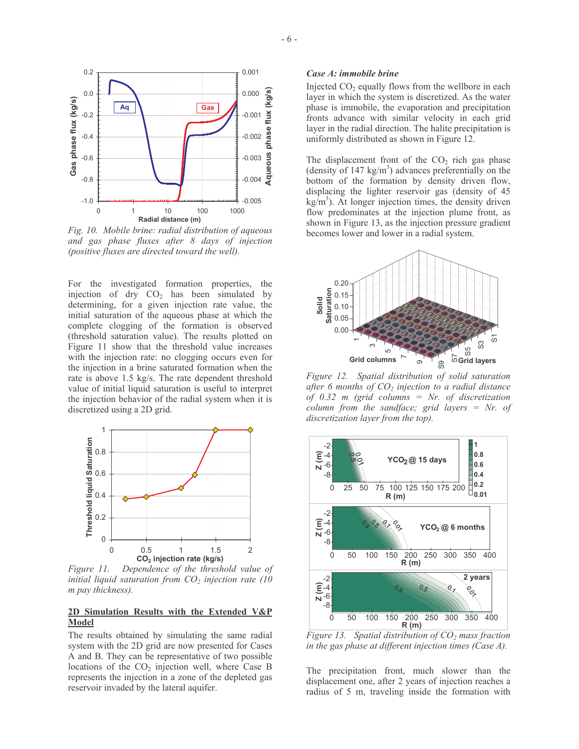

Fig. 10. Mobile brine: radial distribution of aqueous and gas phase fluxes after 8 days of injection (positive fluxes are directed toward the well).

For the investigated formation properties, the injection of dry  $CO<sub>2</sub>$  has been simulated by determining, for a given injection rate value, the initial saturation of the aqueous phase at which the complete clogging of the formation is observed (threshold saturation value). The results plotted on Figure 11 show that the threshold value increases with the injection rate: no clogging occurs even for the injection in a brine saturated formation when the rate is above 1.5 kg/s. The rate dependent threshold value of initial liquid saturation is useful to interpret the injection behavior of the radial system when it is discretized using a 2D grid.



Dependence of the threshold value of Figure 11. initial liquid saturation from  $CO<sub>2</sub>$  injection rate (10) m pay thickness).

## 2D Simulation Results with the Extended V&P **Model**

The results obtained by simulating the same radial system with the 2D grid are now presented for Cases A and B. They can be representative of two possible locations of the  $CO<sub>2</sub>$  injection well, where Case B represents the injection in a zone of the depleted gas reservoir invaded by the lateral aquifer.

### Case A: immobile brine

Injected CO<sub>2</sub> equally flows from the wellbore in each layer in which the system is discretized. As the water phase is immobile, the evaporation and precipitation fronts advance with similar velocity in each grid layer in the radial direction. The halite precipitation is uniformly distributed as shown in Figure 12.

The displacement front of the  $CO<sub>2</sub>$  rich gas phase (density of 147 kg/m<sup>3</sup>) advances preferentially on the bottom of the formation by density driven flow, displacing the lighter reservoir gas (density of 45  $\text{kg/m}^3$ ). At longer injection times, the density driven flow predominates at the injection plume front, as shown in Figure 13, as the injection pressure gradient becomes lower and lower in a radial system.



Figure 12. Spatial distribution of solid saturation after 6 months of  $CO<sub>2</sub>$  injection to a radial distance of 0.32 m (grid columns = Nr. of discretization column from the sandface; grid layers =  $Nr.$  of discretization layer from the top).



Figure 13. Spatial distribution of  $CO<sub>2</sub>$  mass fraction in the gas phase at different injection times (Case  $A$ ).

The precipitation front, much slower than the displacement one, after 2 years of injection reaches a radius of 5 m, traveling inside the formation with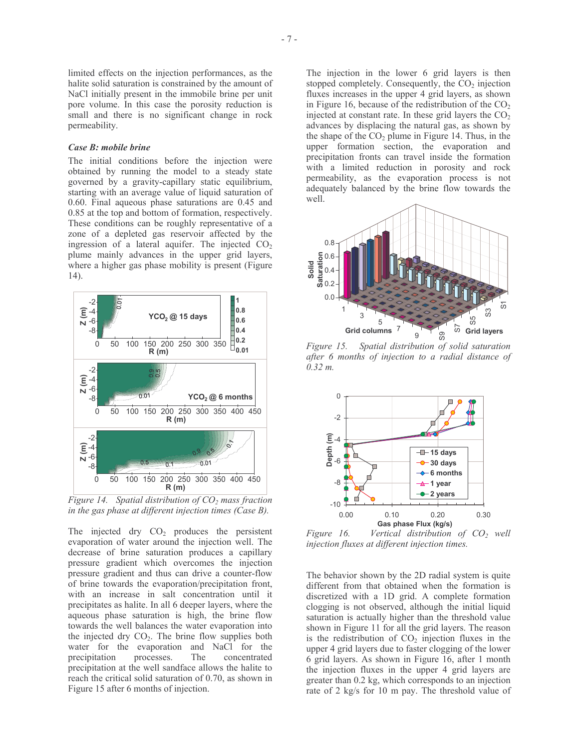#### Case B: mobile brine

The initial conditions before the injection were obtained by running the model to a steady state governed by a gravity-capillary static equilibrium, starting with an average value of liquid saturation of  $0.60$ . Final aqueous phase saturations are  $0.45$  and 0.85 at the top and bottom of formation, respectively. These conditions can be roughly representative of a zone of a depleted gas reservoir affected by the ingression of a lateral aquifer. The injected  $CO<sub>2</sub>$ plume mainly advances in the upper grid layers, where a higher gas phase mobility is present (Figure  $14$ ).



Figure 14. Spatial distribution of  $CO<sub>2</sub>$  mass fraction in the gas phase at different injection times (Case  $B$ ).

The injected dry  $CO<sub>2</sub>$  produces the persistent evaporation of water around the injection well. The decrease of brine saturation produces a capillary pressure gradient which overcomes the injection pressure gradient and thus can drive a counter-flow of brine towards the evaporation/precipitation front, with an increase in salt concentration until it precipitates as halite. In all 6 deeper layers, where the aqueous phase saturation is high, the brine flow towards the well balances the water evaporation into the injected dry CO<sub>2</sub>. The brine flow supplies both water for the evaporation and NaCl for the precipitation processes. The concentrated precipitation at the well sandface allows the halite to reach the critical solid saturation of 0.70, as shown in Figure 15 after 6 months of injection.

The injection in the lower 6 grid layers is then stopped completely. Consequently, the  $CO<sub>2</sub>$  injection fluxes increases in the upper 4 grid layers, as shown in Figure 16, because of the redistribution of the  $CO<sub>2</sub>$ injected at constant rate. In these grid layers the  $CO<sub>2</sub>$ advances by displacing the natural gas, as shown by the shape of the  $CO<sub>2</sub>$  plume in Figure 14. Thus, in the upper formation section, the evaporation and precipitation fronts can travel inside the formation with a limited reduction in porosity and rock permeability, as the evaporation process is not adequately balanced by the brine flow towards the



Figure 15. Spatial distribution of solid saturation after 6 months of injection to a radial distance of  $0.32 m$ .



Vertical distribution of CO<sub>2</sub> well Figure 16. injection fluxes at different injection times.

The behavior shown by the 2D radial system is quite different from that obtained when the formation is discretized with a 1D grid. A complete formation clogging is not observed, although the initial liquid saturation is actually higher than the threshold value shown in Figure 11 for all the grid layers. The reason is the redistribution of  $CO<sub>2</sub>$  injection fluxes in the upper 4 grid layers due to faster clogging of the lower 6 grid layers. As shown in Figure 16, after 1 month the injection fluxes in the upper 4 grid layers are greater than 0.2 kg, which corresponds to an injection rate of 2 kg/s for 10 m pay. The threshold value of